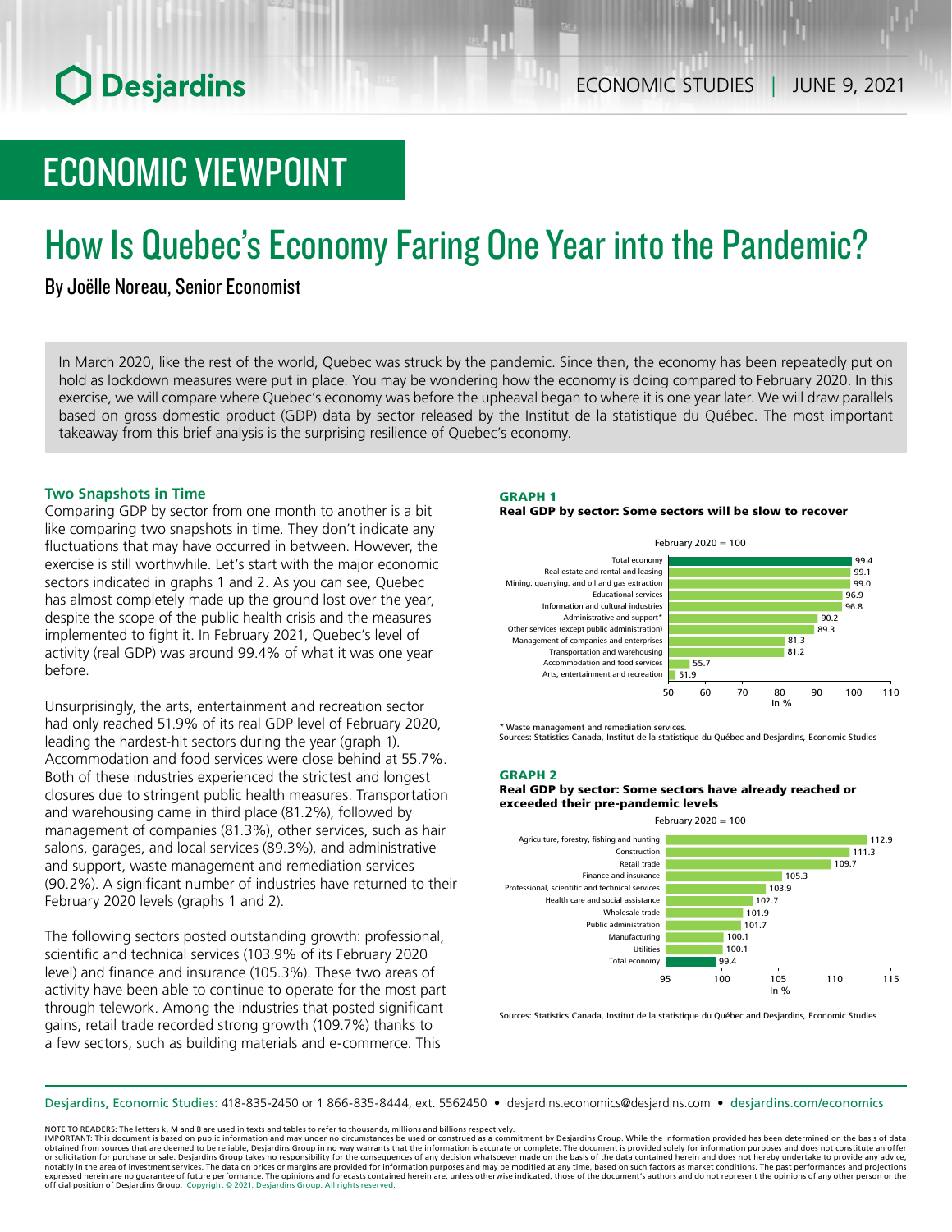# ECONOMIC VIEWPOINT

# How Is Quebec's Economy Faring One Year into the Pandemic?

## By Joëlle Noreau, Senior Economist

In March 2020, like the rest of the world, Quebec was struck by the pandemic. Since then, the economy has been repeatedly put on hold as lockdown measures were put in place. You may be wondering how the economy is doing compared to February 2020. In this exercise, we will compare where Quebec's economy was before the upheaval began to where it is one year later. We will draw parallels based on gross domestic product (GDP) data by sector released by the Institut de la statistique du Québec. The most important takeaway from this brief analysis is the surprising resilience of Quebec's economy.

## **Two Snapshots in Time**

Comparing GDP by sector from one month to another is a bit like comparing two snapshots in time. They don't indicate any fluctuations that may have occurred in between. However, the exercise is still worthwhile. Let's start with the major economic sectors indicated in graphs 1 and 2. As you can see, Quebec has almost completely made up the ground lost over the year, despite the scope of the public health crisis and the measures implemented to fight it. In February 2021, Quebec's level of activity (real GDP) was around 99.4% of what it was one year before.

Unsurprisingly, the arts, entertainment and recreation sector had only reached 51.9% of its real GDP level of February 2020, leading the hardest-hit sectors during the year (graph 1). Accommodation and food services were close behind at 55.7%. Both of these industries experienced the strictest and longest closures due to stringent public health measures. Transportation and warehousing came in third place (81.2%), followed by management of companies (81.3%), other services, such as hair salons, garages, and local services (89.3%), and administrative and support, waste management and remediation services (90.2%). A significant number of industries have returned to their February 2020 levels (graphs 1 and 2).

The following sectors posted outstanding growth: professional, scientific and technical services (103.9% of its February 2020 level) and finance and insurance (105.3%). These two areas of activity have been able to continue to operate for the most part through telework. Among the industries that posted significant gains, retail trade recorded strong growth (109.7%) thanks to a few sectors, such as building materials and e-commerce. This

## GRAPH 1

#### Real GDP by sector: Some sectors will be slow to recover



\* Waste management and remediation services.

Sources: Statistics Canada, Institut de la statistique du Québec and Desjardins, Economic Studies

## GRAPH 2

#### Real GDP by sector: Some sectors have already reached or exceeded their pre-pandemic levels



Sources: Statistics Canada, Institut de la statistique du Québec and Desjardins, Economic Studies

Desjardins, Economic Studies: 418-835-2450 or 1 866-835-8444, ext. 5562450 • desjardins.economics@desjardins.com • [desjardins.com/economics](http://desjardins.com/economics)

NOTE TO READERS: The letters k, M and B are used in texts and tables to refer to thousands, millions and billions respectively.

IMPORTANT: This document is based on public information and may under no circumstances be used or construed as a commitment by Desjardins Group. While the information provided has been determined on the basis of data obtained from sources that are deemed to be reliable, Desjardins Group in no way warrants that the information is accurate or complete. The document is provided solely for information purposes and does not constitute an of notably in the area of investment services. The data on prices or margins are provided for information purposes and may be modified at any time, based on such factors as market conditions. The past performances and project expressed herein are no guarantee of future performance. The opinions and forecasts contained herein are, unless otherwise indicated, those of the document's authors and do not represent the opinions of any other person or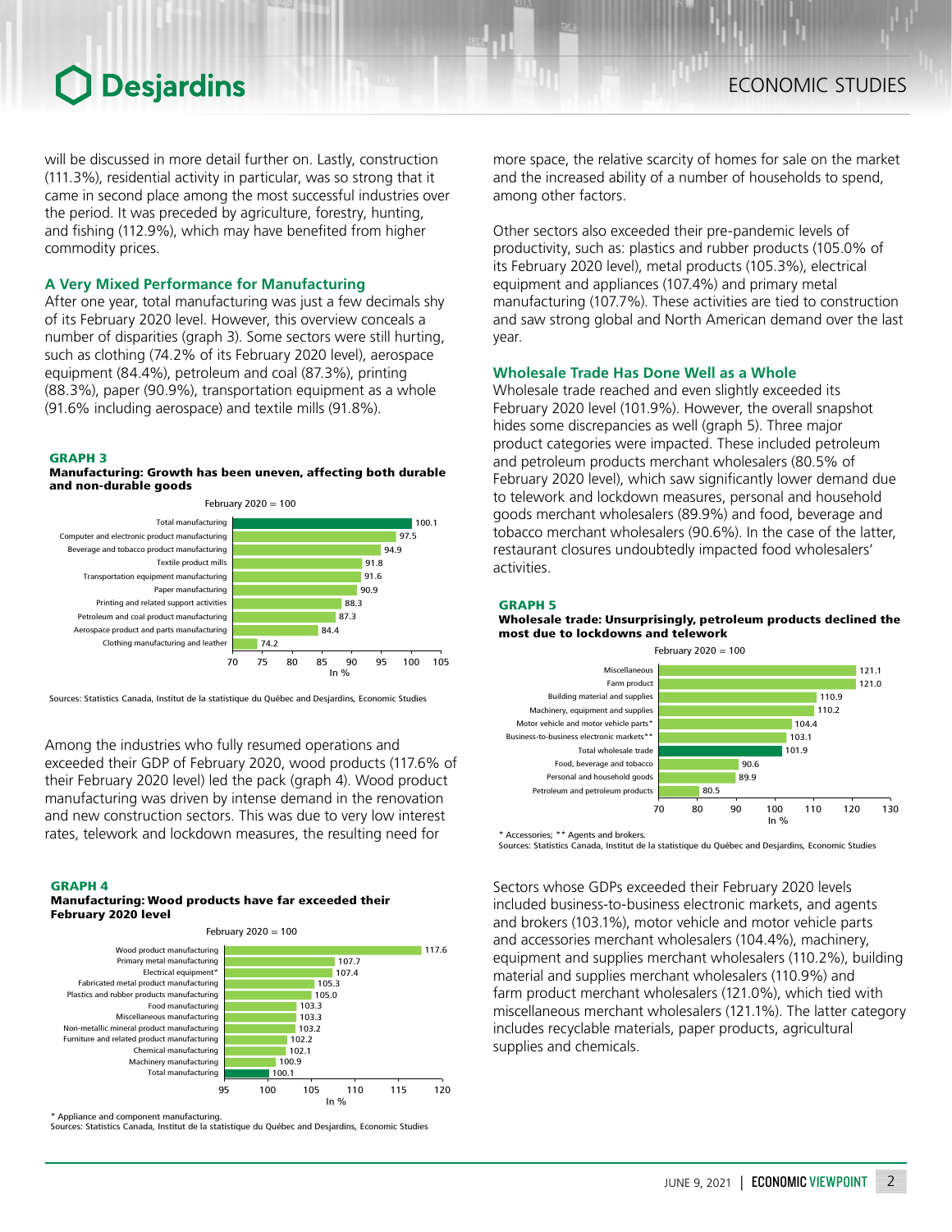## **O** Desjardins

will be discussed in more detail further on. Lastly, construction (111.3%), residential activity in particular, was so strong that it came in second place among the most successful industries over the period. It was preceded by agriculture, forestry, hunting, and fishing (112.9%), which may have benefited from higher commodity prices.

## **A Very Mixed Performance for Manufacturing**

After one year, total manufacturing was just a few decimals shy of its February 2020 level. However, this overview conceals a number of disparities (graph 3). Some sectors were still hurting, such as clothing (74.2% of its February 2020 level), aerospace equipment (84.4%), petroleum and coal (87.3%), printing (88.3%), paper (90.9%), transportation equipment as a whole (91.6% including aerospace) and textile mills (91.8%).

#### GRAPH 3

#### Manufacturing: Growth has been uneven, affecting both durable and non-durable goods



Sources: Statistics Canada, Institut de la statistique du Québec and Desjardins, Economic Studies

Among the industries who fully resumed operations and exceeded their GDP of February 2020, wood products (117.6% of their February 2020 level) led the pack (graph 4). Wood product manufacturing was driven by intense demand in the renovation and new construction sectors. This was due to very low interest rates, telework and lockdown measures, the resulting need for

#### GRAPH 4

#### Manufacturing: Wood products have far exceeded their February 2020 level



Appliance and component manufacturing.

Sources: Statistics Canada, Institut de la statistique du Québec and Desjardins, Economic Studies

more space, the relative scarcity of homes for sale on the market and the increased ability of a number of households to spend, among other factors.

Other sectors also exceeded their pre-pandemic levels of productivity, such as: plastics and rubber products (105.0% of its February 2020 level), metal products (105.3%), electrical equipment and appliances (107.4%) and primary metal manufacturing (107.7%). These activities are tied to construction and saw strong global and North American demand over the last year.

#### **Wholesale Trade Has Done Well as a Whole**

Wholesale trade reached and even slightly exceeded its February 2020 level (101.9%). However, the overall snapshot hides some discrepancies as well (graph 5). Three major product categories were impacted. These included petroleum and petroleum products merchant wholesalers (80.5% of February 2020 level), which saw significantly lower demand due to telework and lockdown measures, personal and household goods merchant wholesalers (89.9%) and food, beverage and tobacco merchant wholesalers (90.6%). In the case of the latter, restaurant closures undoubtedly impacted food wholesalers' activities.

#### GRAPH 5

Wholesale trade: Unsurprisingly, petroleum products declined the most due to lockdowns and telework



\* Accessories; \*\* Agents and brokers.

Sources: Statistics Canada, Institut de la statistique du Québec and Desjardins, Economic Studies

Sectors whose GDPs exceeded their February 2020 levels included business‑to-business electronic markets, and agents and brokers (103.1%), motor vehicle and motor vehicle parts and accessories merchant wholesalers (104.4%), machinery, equipment and supplies merchant wholesalers (110.2%), building material and supplies merchant wholesalers (110.9%) and farm product merchant wholesalers (121.0%), which tied with miscellaneous merchant wholesalers (121.1%). The latter category includes recyclable materials, paper products, agricultural supplies and chemicals.